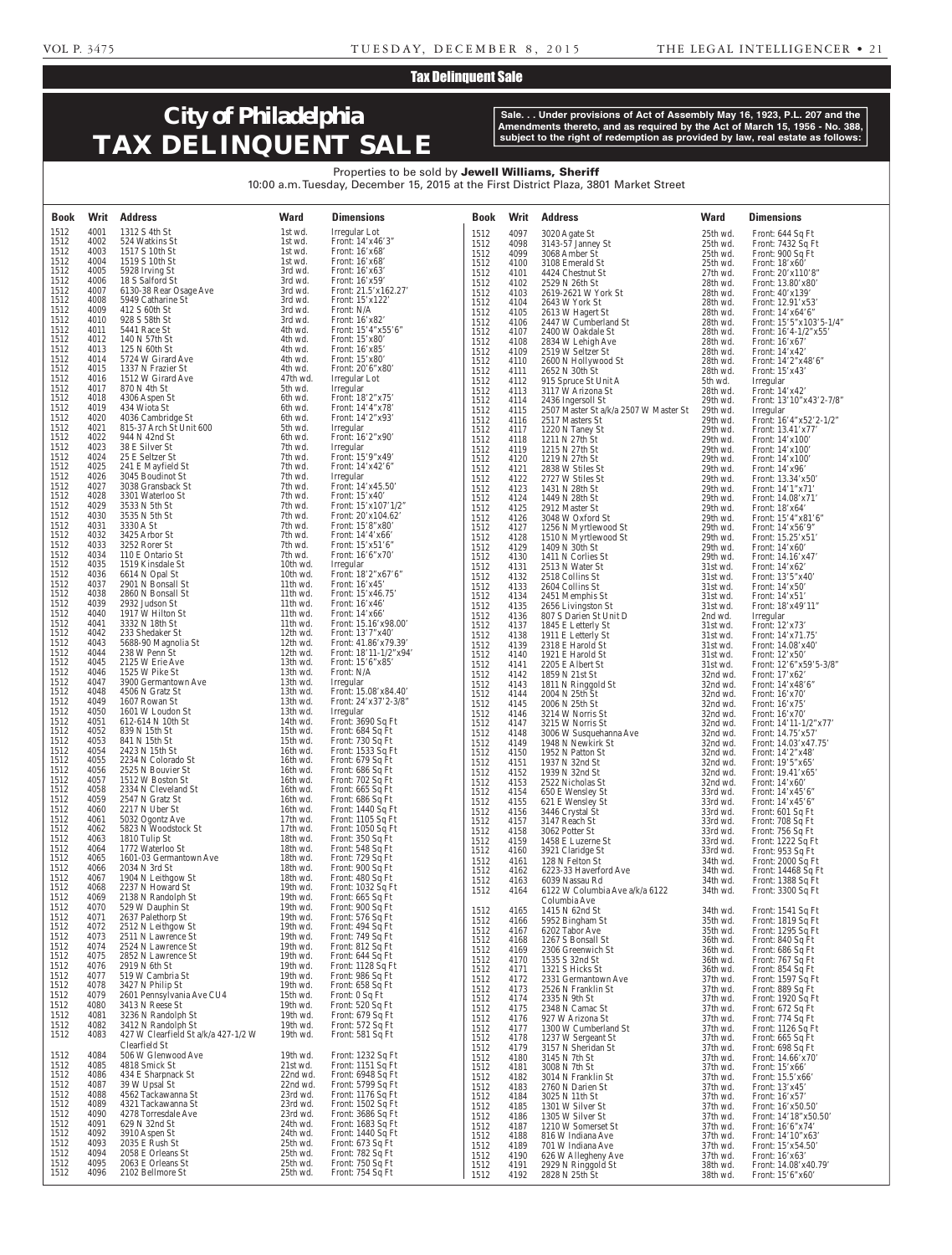## Tax Delinquent Sale

# **City of Philadelphia TAX DELINQUENT SALE**

**Sale. . . Under provisions of Act of Assembly May 16, 1923, P.L. 207 and the Amendments thereto, and as required by the Act of March 15, 1956 - No. 388, subject to the right of redemption as provided by law, real estate as follows:**

### Properties to be sold by Jewell Williams, Sheriff 10:00 a.m. Tuesday, December 15, 2015 at the First District Plaza, 3801 Market Street

| <b>Book</b>  | Writ         | <b>Address</b>                                       | <b>Ward</b>          | <b>Dimensions</b>                         | <b>Book</b>  | Writ         | <b>Address</b>                            | <b>Ward</b>          | <b>Dimensions</b>                           |
|--------------|--------------|------------------------------------------------------|----------------------|-------------------------------------------|--------------|--------------|-------------------------------------------|----------------------|---------------------------------------------|
| 1512         | 4001         | 1312 S 4th St                                        | 1st wd.              | Irregular Lot                             | 1512         | 4097         | 3020 Agate St                             | 25th wd.             | Front: 644 Sq Ft                            |
| 1512<br>1512 | 4002<br>4003 | 524 Watkins St<br>1517 S 10th St                     | 1st wd.<br>1st wd.   | Front: 14'x46'3"<br>Front: 16'x68'        | 1512         | 4098         | 3143-57 Janney St                         | 25th wd.             | Front: 7432 Sq Ft                           |
| 1512         | 4004         | 1519 S 10th St                                       | 1st wd.              | Front: 16'x68'                            | 1512<br>1512 | 4099<br>4100 | 3068 Amber St<br>3108 Emerald St          | 25th wd.<br>25th wd. | Front: 900 Sq Ft<br>Front: $18'x60'$        |
| 1512         | 4005         | 5928 Irving St                                       | 3rd wd.              | Front: $16'x63'$                          | 1512         | 4101         | 4424 Chestnut St                          | 27th wd.             | Front: 20'x110'8"                           |
| 1512<br>1512 | 4006<br>4007 | 18 S Salford St<br>6130-38 Rear Osage Ave            | 3rd wd.<br>3rd wd.   | Front: $16'x59'$<br>Front: 21.5'x162.27'  | 1512         | 4102         | 2529 N 26th St                            | 28th wd.             | Front: 13.80'x80'                           |
| 1512         | 4008         | 5949 Catharine St                                    | 3rd wd.              | Front: 15'x122'                           | 1512<br>1512 | 4103<br>4104 | 2619-2621 W York St<br>2643 W York St     | 28th wd.<br>28th wd. | Front: 40'x139'<br>Front: 12.91'x53'        |
| 1512         | 4009         | 412 S 60th St                                        | 3rd wd.              | Front: N/A                                | 1512         | 4105         | 2613 W Hagert St                          | 28th wd.             | Front: $14'x64'6''$                         |
| 1512         | 4010         | 928 S 58th St                                        | 3rd wd.              | Front: 16'x82'                            | 1512         | 4106         | 2447 W Cumberland St                      | 28th wd.             | Front: $15'5''x103'5-1/4"$                  |
| 1512<br>1512 | 4011<br>4012 | 5441 Race St<br>140 N 57th St                        | 4th wd.<br>4th wd.   | Front: 15'4"x55'6"<br>Front: 15'x80'      | 1512         | 4107         | 2400 W Oakdale St                         | 28th wd.             | Front: $16'4-1/2''x55'$                     |
| 1512         | 4013         | 125 N 60th St                                        | 4th wd.              | Front: 16'x85'                            | 1512<br>1512 | 4108<br>4109 | 2834 W Lehigh Ave<br>2519 W Seltzer St    | 28th wd.<br>28th wd. | Front: $16'x67'$<br>Front: 14'x42'          |
| 1512         | 4014         | 5724 W Girard Ave                                    | 4th wd.              | Front: 15'x80'                            | 1512         | 4110         | 2600 N Hollywood St                       | 28th wd.             | Front: 14'2"x48'6"                          |
| 1512<br>1512 | 4015<br>4016 | 1337 N Frazier St<br>1512 W Girard Ave               | 4th wd.<br>47th wd.  | Front: 20'6"x80'<br>Irregular Lot         | 1512         | 4111         | 2652 N 30th St                            | 28th wd.             | Front: 15'x43'                              |
| 1512         | 4017         | 870 N 4th St                                         | 5th wd.              | Irregular                                 | 1512<br>1512 | 4112<br>4113 | 915 Spruce St Unit A<br>3117 W Arizona St | 5th wd.<br>28th wd.  | Irregular<br>Front: 14'x42'                 |
| 1512         | 4018         | 4306 Aspen St                                        | 6th wd.              | Front: 18'2"x75'                          | 1512         | 4114         | 2436 Ingersoll St                         | 29th wd.             | Front: 13'10"x43'2-7/8"                     |
| 1512<br>1512 | 4019<br>4020 | 434 Wiota St<br>4036 Cambridge St                    | 6th wd.<br>6th wd.   | Front: 14'4"x78'<br>Front: 14'2"x93'      | 1512         | 4115         | 2507 Master St a/k/a 2507 W Master St     | 29th wd.             | Irregular                                   |
| 1512         | 4021         | 815-37 Arch St Unit 600                              | 5th wd.              | Irregular                                 | 1512<br>1512 | 4116<br>4117 | 2517 Masters St<br>1220 N Taney St        | 29th wd.<br>29th wd. | Front: 16'4"x52'2-1/2"<br>Front: 13.41'x77' |
| 1512         | 4022         | 944 N 42nd St                                        | 6th wd.              | Front: 16'2"x90'                          | 1512         | 4118         | 1211 N 27th St                            | 29th wd.             | Front: $14'x100'$                           |
| 1512<br>1512 | 4023<br>4024 | 38 E Silver St<br>25 E Seltzer St                    | 7th wd.<br>7th wd.   | Irregular<br>Front: 15'9"x49'             | 1512         | 4119         | 1215 N 27th St                            | 29th wd.             | Front: 14'x100'                             |
| 1512         | 4025         | 241 E Mayfield St                                    | 7th wd.              | Front: 14'x42'6"                          | 1512<br>1512 | 4120<br>4121 | 1219 N 27th St<br>2838 W Stiles St        | 29th wd.<br>29th wd. | Front: $14'x100'$<br>Front: $14'x96'$       |
| 1512         | 4026         | 3045 Boudinot St                                     | 7th wd.              | Irregular                                 | 1512         | 4122         | 2727 W Stiles St                          | 29th wd.             | Front: 13.34'x50'                           |
| 1512         | 4027<br>4028 | 3038 Gransback St                                    | 7th wd.              | Front: 14'x45.50'                         | 1512         | 4123         | 1431 N 28th St                            | 29th wd.             | Front: 14'1"x71'                            |
| 1512<br>1512 | 4029         | 3301 Waterloo St<br>3533 N 5th St                    | 7th wd.<br>7th wd.   | Front: $15'x40'$<br>Front: $15'x107'1/2"$ | 1512<br>1512 | 4124<br>4125 | 1449 N 28th St<br>2912 Master St          | 29th wd.<br>29th wd. | Front: 14.08'x71'<br>Front: 18'x64'         |
| 1512         | 4030         | 3535 N 5th St                                        | 7th wd.              | Front: 20'x104.62'                        | 1512         | 4126         | 3048 W Oxford St                          | 29th wd.             | Front: 15'4"x81'6"                          |
| 1512         | 4031         | 3330 A St                                            | 7th wd.              | Front: 15'8"x80"                          | 1512         | 4127         | 1256 N Myrtlewood St                      | 29th wd.             | Front: 14'x56'9"                            |
| 1512<br>1512 | 4032<br>4033 | 3425 Arbor St<br>3252 Rorer St                       | 7th wd.<br>7th wd.   | Front: $14'4'x66'$<br>Front: 15'x51'6"    | 1512         | 4128         | 1510 N Myrtlewood St                      | 29th wd.             | Front: 15.25'x51'                           |
| 1512         | 4034         | 110 E Ontario St                                     | 7th wd.              | Front: 16'6"x70"                          | 1512<br>1512 | 4129<br>4130 | 1409 N 30th St<br>1411 N Corlies St       | 29th wd.<br>29th wd. | Front: $14'x60'$<br>Front: 14.16'x47'       |
| 1512         | 4035         | 1519 Kinsdale St                                     | 10th wd.             | Irregular                                 | 1512         | 4131         | 2513 N Water St                           | 31st wd.             | Front: 14'x62'                              |
| 1512<br>1512 | 4036<br>4037 | 6614 N Opal St<br>2901 N Bonsall St                  | 10th wd.<br>11th wd. | Front: 18'2"x67'6"<br>Front: $16'x45'$    | 1512         | 4132         | 2518 Collins St                           | 31st wd.             | Front: 13'5"x40'                            |
| 1512         | 4038         | 2860 N Bonsall St                                    | 11th wd.             | Front: 15'x46.75'                         | 1512<br>1512 | 4133<br>4134 | 2604 Collins St<br>2451 Memphis St        | 31st wd.<br>31st wd. | Front: 14'x50'<br>Front: $14'x51'$          |
| 1512         | 4039         | 2932 Judson St                                       | 11th wd.             | Front: $16'x46'$                          | 1512         | 4135         | 2656 Livingston St                        | 31st wd.             | Front: 18'x49'11"                           |
| 1512         | 4040         | 1917 W Hilton St                                     | 11th wd.             | Front: 14'x66'                            | 1512         | 4136         | 807 S Darien St Unit D                    | 2nd wd.              | Irregular                                   |
| 1512<br>1512 | 4041<br>4042 | 3332 N 18th St<br>233 Shedaker St                    | 11th wd.<br>12th wd. | Front: 15.16'x98.00'<br>Front: 13'7"x40'  | 1512<br>1512 | 4137<br>4138 | 1845 E Letterly St<br>1911 E Letterly St  | 31st wd.<br>31st wd. | Front: 12'x73'<br>Front: 14'x71.75'         |
| 1512         | 4043         | 5688-90 Magnolia St                                  | 12th wd.             | Front: 41.86'x79.39'                      | 1512         | 4139         | 2318 E Harold St                          | 31st wd.             | Front: 14.08'x40'                           |
| 1512         | 4044         | 238 W Penn St                                        | 12th wd.             | Front: $18'11-1/2''x94'$                  | 1512         | 4140         | 1921 E Harold St                          | 31st wd.             | Front: 12'x50'                              |
| 1512<br>1512 | 4045<br>4046 | 2125 W Erie Ave<br>1525 W Pike St                    | 13th wd.<br>13th wd. | Front: 15'6"x85'<br>Front: N/A            | 1512         | 4141         | 2205 E Albert St                          | 31st wd.             | Front: 12'6"x59'5-3/8"                      |
| 1512         | 4047         | 3900 Germantown Ave                                  | 13th wd.             | Irregular                                 | 1512<br>1512 | 4142<br>4143 | 1859 N 21st St<br>1811 N Ringgold St      | 32nd wd.<br>32nd wd. | Front: 17'x62'<br>Front: 14'x48'6"          |
| 1512         | 4048         | 4506 N Gratz St                                      | 13th wd.             | Front: 15.08'x84.40'                      | 1512         | 4144         | 2004 N 25th St                            | 32nd wd.             | Front: 16'x70'                              |
| 1512<br>1512 | 4049<br>4050 | 1607 Rowan St<br>1601 W Loudon St                    | 13th wd.<br>13th wd. | Front: 24'x37'2-3/8"<br>Irregular         | 1512         | 4145         | 2006 N 25th St                            | 32nd wd.             | Front: 16'x75'                              |
| 1512         | 4051         | 612-614 N 10th St                                    | 14th wd.             | Front: 3690 Sq Ft                         | 1512<br>1512 | 4146<br>4147 | 3214 W Norris St<br>3215 W Norris St      | 32nd wd.<br>32nd wd. | Front: 16'x70'<br>Front: $14'11-1/2''x77'$  |
| 1512         | 4052         | 839 N 15th St                                        | 15th wd.             | Front: 684 Sq Ft                          | 1512         | 4148         | 3006 W Susquehanna Ave                    | 32nd wd.             | Front: $14.75'$ x57                         |
| 1512<br>1512 | 4053<br>4054 | 841 N 15th St<br>2423 N 15th St                      | 15th wd.<br>16th wd. | Front: 730 Sq Ft<br>Front: 1533 Sq Ft     | 1512         | 4149         | 1948 N Newkirk St                         | 32nd wd.             | Front: 14.03'x47.75'                        |
| 1512         | 4055         | 2234 N Colorado St                                   | 16th wd.             | Front: 679 Sq Ft                          | 1512<br>1512 | 4150<br>4151 | 1952 N Patton St<br>1937 N 32nd St        | 32nd wd.<br>32nd wd. | Front: 14'2"x48'<br>Front: 19'5"x65'        |
| 1512         | 4056         | 2525 N Bouvier St                                    | 16th wd.             | Front: 686 Sq Ft                          | 1512         | 4152         | 1939 N 32nd St                            | 32nd wd.             | Front: 19.41'x65'                           |
| 1512<br>1512 | 4057<br>4058 | 1512 W Boston St<br>2334 N Cleveland St              | 16th wd.<br>16th wd. | Front: 702 Sq Ft<br>Front: 665 Sq Ft      | 1512         | 4153         | 2522 Nicholas St                          | 32nd wd.             | Front: 14'x60'                              |
| 1512         | 4059         | 2547 N Gratz St                                      | 16th wd.             | Front: 686 Sq Ft                          | 1512<br>1512 | 4154<br>4155 | 650 E Wensley St<br>621 E Wensley St      | 33rd wd.<br>33rd wd. | Front: $14'x45'6''$<br>Front: 14'x45'6"     |
| 1512         | 4060         | 2217 N Uber St                                       | 16th wd.             | Front: 1440 Sq Ft                         | 1512         | 4156         | 3446 Crystal St                           | 33rd wd.             | Front: 601 Sq Ft                            |
| 1512         | 4061         | 5032 Ogontz Ave                                      | 17th wd.             | Front: 1105 Sq Ft<br>Front: 1050 Sq Ft    | 1512         | 4157         | 3147 Reach St                             | 33rd wd.             | Front: 708 Sq Ft                            |
| 1512<br>1512 | 4062<br>4063 | 5823 N Woodstock St<br>1810 Tulip St                 | 17th wd.<br>18th wd. | Front: 350 Sq Ft                          | 1512<br>1512 | 4158<br>4159 | 3062 Potter St<br>1458 E Luzerne St       | 33rd wd.<br>33rd wd. | Front: 756 Sq Ft<br>Front: 1222 Sq Ft       |
| 1512         | 4064         | 1772 Waterloo St                                     | 18th wd.             | Front: 548 Sq Ft                          | 1512         | 4160         | 3921 Claridge St                          | 33rd wd.             | Front: 953 Sq Ft                            |
| 1512         | 4065         | 1601-03 Germantown Ave                               | 18th wd.             | Front: 729 Sq Ft                          | 1512         | 4161         | 128 N Felton St                           | 34th wd.             | Front: 2000 Sq Ft                           |
| 1512<br>1512 | 4066<br>4067 | 2034 N 3rd St<br>1904 N Leithgow St                  | 18th wd.<br>18th wd. | Front: 900 Sq Ft<br>Front: 480 Sq Ft      | 1512         | 4162         | 6223-33 Haverford Ave<br>6039 Nassau Rd   | 34th wd.<br>34th wd. | Front: 14468 Sq Ft                          |
| 1512         | 4068         | 2237 N Howard St                                     | 19th wd.             | Front: 1032 Sq Ft                         | 1512<br>1512 | 4163<br>4164 | 6122 W Columbia Ave a/k/a 6122            | 34th wd.             | Front: 1388 Sq Ft<br>Front: 3300 Sq Ft      |
| 1512         | 4069         | 2138 N Randolph St                                   | 19th wd.             | Front: 665 Sq Ft                          |              |              | Columbia Ave                              |                      |                                             |
| 1512<br>1512 | 4070<br>4071 | 529 W Dauphin St<br>2637 Palethorp St                | 19th wd.<br>19th wd. | Front: 900 Sq Ft<br>Front: 576 Sq Ft      | 1512         | 4165         | 1415 N 62nd St                            | 34th wd.             | Front: 1541 Sq Ft                           |
| 1512         | 4072         | 2512 N Leithgow St                                   | 19th wd.             | Front: 494 Sq Ft                          | 1512<br>1512 | 4166<br>4167 | 5952 Bingham St<br>6202 Tabor Ave         | 35th wd.<br>35th wd. | Front: 1819 Sq Ft<br>Front: 1295 Sq Ft      |
| 1512         | 4073         | 2511 N Lawrence St                                   | 19th wd.             | Front: 749 Sq Ft                          | 1512         | 4168         | 1267 S Bonsall St                         | 36th wd.             | Front: 840 Sq Ft                            |
| 1512<br>1512 | 4074<br>4075 | 2524 N Lawrence St<br>2852 N Lawrence St             | 19th wd.<br>19th wd. | Front: 812 Sq Ft<br>Front: 644 Sq Ft      | 1512         | 4169         | 2306 Greenwich St                         | 36th wd.             | Front: 686 Sq Ft                            |
| 1512         | 4076         | 2919 N 6th St                                        | 19th wd.             | Front: 1128 Sq Ft                         | 1512<br>1512 | 4170<br>4171 | 1535 S 32nd St<br>1321 S Hicks St         | 36th wd.<br>36th wd. | Front: 767 Sq Ft<br>Front: 854 Sq Ft        |
| 1512         | 4077         | 519 W Cambria St                                     | 19th wd.             | Front: 986 Sq Ft                          | 1512         | 4172         | 2331 Germantown Ave                       | 37th wd.             | Front: 1597 Sq Ft                           |
| 1512<br>1512 | 4078<br>4079 | 3427 N Philip St<br>2601 Pennsylvania Ave CU4        | 19th wd.<br>15th wd. | Front: 658 Sq Ft<br>Front: 0 Sq Ft        | 1512         | 4173         | 2526 N Franklin St                        | 37th wd.             | Front: 889 Sq Ft                            |
| 1512         | 4080         | 3413 N Reese St                                      | 19th wd.             | Front: 520 Sq Ft                          | 1512         | 4174         | 2335 N 9th St                             | 37th wd.             | Front: 1920 Sq Ft                           |
| 1512         | 4081         | 3236 N Randolph St                                   | 19th wd.             | Front: 679 Sq Ft                          | 1512<br>1512 | 4175<br>4176 | 2348 N Camac St<br>927 W Arizona St       | 37th wd.<br>37th wd. | Front: 672 Sq Ft<br>Front: 774 Sq Ft        |
| 1512         | 4082         | 3412 N Randolph St                                   | 19th wd.             | Front: 572 Sq Ft                          | 1512         | 4177         | 1300 W Cumberland St                      | 37th wd.             | Front: $1126$ Sq Ft                         |
| 1512         | 4083         | 427 W Clearfield St a/k/a 427-1/2 W<br>Clearfield St | 19th wd.             | Front: 581 Sq Ft                          | 1512         | 4178         | 1237 W Sergeant St                        | 37th wd.             | Front: 665 Sq Ft                            |
| 1512         | 4084         | 506 W Glenwood Ave                                   | 19th wd.             | Front: 1232 Sq Ft                         | 1512<br>1512 | 4179<br>4180 | 3157 N Sheridan St<br>3145 N 7th St       | 37th wd.<br>37th wd. | Front: 698 Sq Ft<br>Front: 14.66'x70'       |
| 1512         | 4085         | 4818 Smick St                                        | 21st wd.             | Front: 1151 Sq Ft                         | 1512         | 4181         | 3008 N 7th St                             | 37th wd.             | Front: 15'x66'                              |
| 1512<br>1512 | 4086<br>4087 | 434 E Sharpnack St<br>39 W Upsal St                  | 22nd wd.<br>22nd wd. | Front: 6948 Sq Ft<br>Front: 5799 Sq Ft    | 1512         | 4182         | 3014 N Franklin St                        | 37th wd.             | Front: 15.5'x66'                            |
| 1512         | 4088         | 4562 Tackawanna St                                   | 23rd wd.             | Front: 1176 Sq Ft                         | 1512<br>1512 | 4183<br>4184 | 2760 N Darien St<br>3025 N 11th St        | 37th wd.<br>37th wd. | Front: 13'x45'<br>Front: $16'$ x57'         |
| 1512         | 4089         | 4321 Tackawanna St                                   | 23rd wd.             | Front: 1502 Sq Ft                         | 1512         | 4185         | 1301 W Silver St                          | 37th wd.             | Front: 16'x50.50'                           |
| 1512<br>1512 | 4090<br>4091 | 4278 Torresdale Ave<br>629 N 32nd St                 | 23rd wd.<br>24th wd. | Front: 3686 Sq Ft<br>Front: 1683 Sq Ft    | 1512         | 4186         | 1305 W Silver St                          | 37th wd.             | Front: 14'18"x50.50"                        |
| 1512         | 4092         | 3910 Aspen St                                        | 24th wd.             | Front: 1440 Sq Ft                         | 1512<br>1512 | 4187<br>4188 | 1210 W Somerset St<br>816 W Indiana Ave   | 37th wd.<br>37th wd. | Front: 16'6"x74'<br>Front: 14'10"x63'       |
| 1512         | 4093         | 2035 E Rush St                                       | 25th wd.             | Front: 673 Sq Ft                          | 1512         | 4189         | 701 W Indiana Ave                         | 37th wd.             | Front: 15'x54.50'                           |
| 1512         | 4094         | 2058 E Orleans St<br>2063 E Orleans St               | 25th wd.             | Front: 782 Sq Ft                          | 1512         | 4190         | 626 W Allegheny Ave                       | 37th wd.             | Front: $16'x63'$                            |
| 1512<br>1512 | 4095<br>4096 | 2102 Bellmore St                                     | 25th wd.<br>25th wd. | Front: 750 Sq Ft<br>Front: 754 Sq Ft      | 1512<br>1512 | 4191<br>4192 | 2929 N Ringgold St<br>2828 N 25th St      | 38th wd.<br>38th wd. | Front: 14.08'x40.79'<br>Front: 15'6"x60"    |
|              |              |                                                      |                      |                                           |              |              |                                           |                      |                                             |